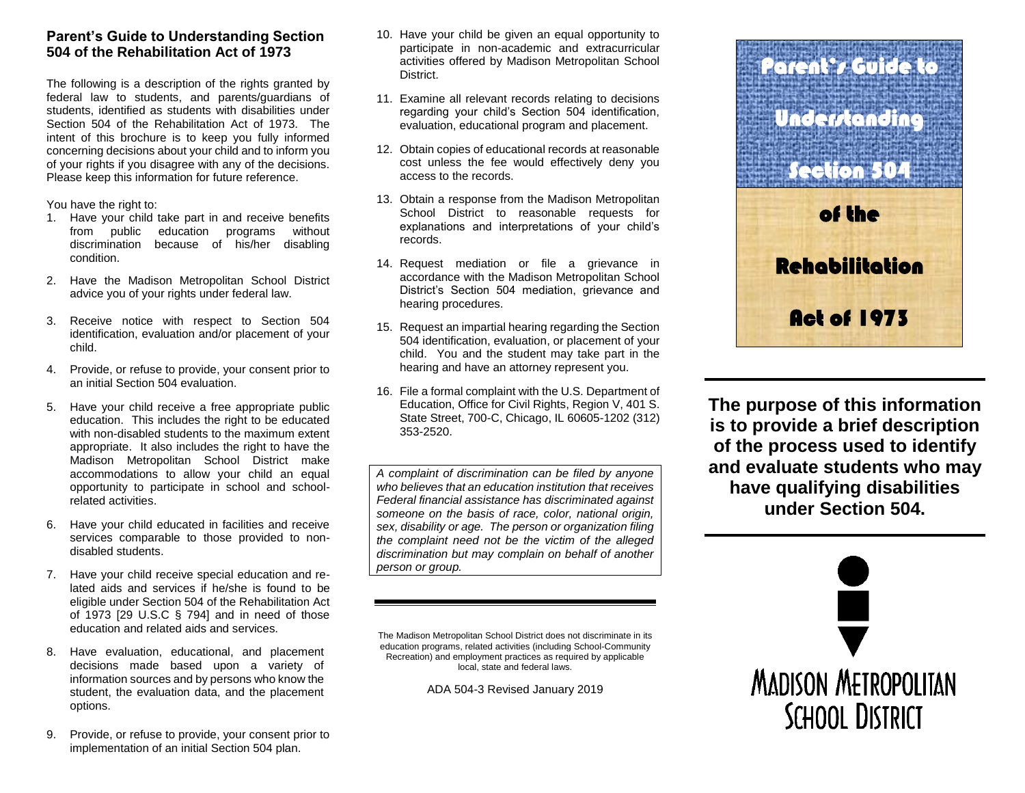# **Parent's Guide to Understanding Section 504 of the Rehabilitation Act of 1973**

The following is a description of the rights granted by federal law to students, and parents/guardians of students, identified as students with disabilities under Section 504 of the Rehabilitation Act of 1973. The intent of this brochure is to keep you fully informed concerning decisions about your child and to inform you of your rights if you disagree with any of the decisions. Please keep this information for future reference.

You have the right to:

- 1. Have your child take part in and receive benefits from public education programs without discrimination because of his/her disabling condition.
- 2. Have the Madison Metropolitan School District advice you of your rights under federal law.
- 3. Receive notice with respect to Section 504 identification, evaluation and/or placement of your child.
- 4. Provide, or refuse to provide, your consent prior to an initial Section 504 evaluation.
- 5. Have your child receive a free appropriate public education. This includes the right to be educated with non-disabled students to the maximum extent appropriate. It also includes the right to have the Madison Metropolitan School District make accommodations to allow your child an equal opportunity to participate in school and schoolrelated activities.
- 6. Have your child educated in facilities and receive services comparable to those provided to nondisabled students.
- 7. Have your child receive special education and related aids and services if he/she is found to be eligible under Section 504 of the Rehabilitation Act of 1973 [29 U.S.C § 794] and in need of those education and related aids and services.
- 8. Have evaluation, educational, and placement decisions made based upon a variety of information sources and by persons who know the student, the evaluation data, and the placement options.
- 9. Provide, or refuse to provide, your consent prior to implementation of an initial Section 504 plan.
- 10. Have your child be given an equal opportunity to participate in non-academic and extracurricular activities offered by Madison Metropolitan School **District**
- 11. Examine all relevant records relating to decisions regarding your child's Section 504 identification, evaluation, educational program and placement.
- 12. Obtain copies of educational records at reasonable cost unless the fee would effectively deny you access to the records.
- 13. Obtain a response from the Madison Metropolitan School District to reasonable requests for explanations and interpretations of your child's records.
- 14. Request mediation or file a grievance in accordance with the Madison Metropolitan School District's Section 504 mediation, grievance and hearing procedures.
- 15. Request an impartial hearing regarding the Section 504 identification, evaluation, or placement of your child. You and the student may take part in the hearing and have an attorney represent you.
- 16. File a formal complaint with the U.S. Department of Education, Office for Civil Rights, Region V, 401 S. State Street, 700-C, Chicago, IL 60605-1202 (312) 353-2520.

*A complaint of discrimination can be filed by anyone who believes that an education institution that receives Federal financial assistance has discriminated against someone on the basis of race, color, national origin, sex, disability or age. The person or organization filing the complaint need not be the victim of the alleged discrimination but may complain on behalf of another person or group.*

The Madison Metropolitan School District does not discriminate in its education programs, related activities (including School-Community Recreation) and employment practices as required by applicable local, state and federal laws.

ADA 504-3 Revised January 2019



**The purpose of this information is to provide a brief description of the process used to identify and evaluate students who may have qualifying disabilities under Section 504.**